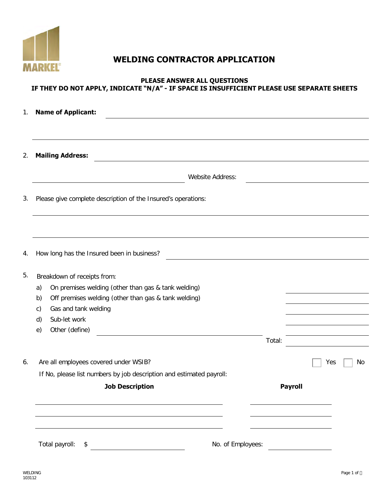

# **WELDING CONTRACTOR APPLICATION**

#### **PLEASE ANSWER ALL QUESTIONS IF THEY DO NOT APPLY, INDICATE "N/A" - IF SPACE IS INSUFFICIENT PLEASE USE SEPARATE SHEETS**

| 1. | <b>Name of Applicant:</b>                                                                                                                                                                                                                                                               |                       |    |
|----|-----------------------------------------------------------------------------------------------------------------------------------------------------------------------------------------------------------------------------------------------------------------------------------------|-----------------------|----|
|    |                                                                                                                                                                                                                                                                                         |                       |    |
| 2. | <b>Mailing Address:</b>                                                                                                                                                                                                                                                                 |                       |    |
|    | Website Address:                                                                                                                                                                                                                                                                        |                       |    |
| 3. | Please give complete description of the Insured's operations:                                                                                                                                                                                                                           |                       |    |
|    |                                                                                                                                                                                                                                                                                         |                       |    |
| 4. | How long has the Insured been in business?                                                                                                                                                                                                                                              |                       |    |
| 5. | Breakdown of receipts from:<br>On premises welding (other than gas & tank welding)<br>a)<br>Off premises welding (other than gas & tank welding)<br>b)<br>Gas and tank welding<br>C)<br>Sub-let work<br>d)<br>Other (define)<br>e)<br><u> 1980 - Johann Barbara, martxa alemaniar a</u> | Total:                |    |
| 6. | Are all employees covered under WSIB?<br>If No, please list numbers by job description and estimated payroll:<br><b>Job Description</b>                                                                                                                                                 | Yes<br><b>Payroll</b> | No |
|    | No. of Employees:<br>Total payroll:<br>\$                                                                                                                                                                                                                                               |                       |    |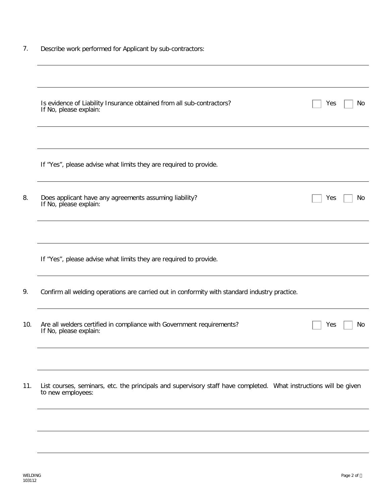|  |  |  |  |  |  | Describe work performed for Applicant by sub-contractors: |
|--|--|--|--|--|--|-----------------------------------------------------------|
|--|--|--|--|--|--|-----------------------------------------------------------|

| Is evidence of Liability Insurance obtained from all sub-contractors?<br>If No, please explain: | Yes                                                               | No                                                                                                                |
|-------------------------------------------------------------------------------------------------|-------------------------------------------------------------------|-------------------------------------------------------------------------------------------------------------------|
|                                                                                                 |                                                                   |                                                                                                                   |
| If "Yes", please advise what limits they are required to provide.                               |                                                                   |                                                                                                                   |
| Does applicant have any agreements assuming liability?<br>If No, please explain:                | Yes                                                               | No                                                                                                                |
|                                                                                                 |                                                                   |                                                                                                                   |
|                                                                                                 |                                                                   |                                                                                                                   |
| Confirm all welding operations are carried out in conformity with standard industry practice.   |                                                                   |                                                                                                                   |
| Are all welders certified in compliance with Government requirements?<br>If No, please explain: | Yes                                                               | No.                                                                                                               |
|                                                                                                 |                                                                   |                                                                                                                   |
| to new employees:                                                                               |                                                                   |                                                                                                                   |
|                                                                                                 | If "Yes", please advise what limits they are required to provide. | List courses, seminars, etc. the principals and supervisory staff have completed. What instructions will be given |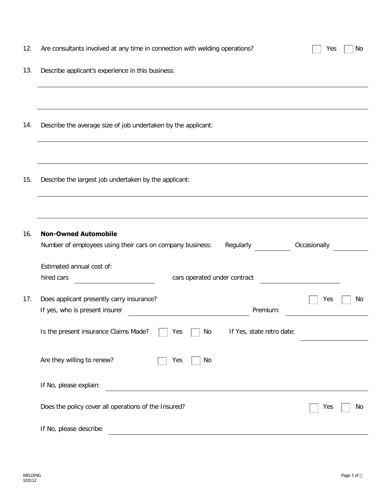| 12. | Are consultants involved at any time in connection with welding operations?                           | No<br>Yes    |
|-----|-------------------------------------------------------------------------------------------------------|--------------|
| 13. | Describe applicant's experience in this business:                                                     |              |
|     |                                                                                                       |              |
| 14. | Describe the average size of job undertaken by the applicant:                                         |              |
|     |                                                                                                       |              |
| 15. | Describe the largest job undertaken by the applicant:                                                 |              |
|     |                                                                                                       |              |
| 16. | <b>Non-Owned Automobile</b><br>Number of employees using their cars on company business:<br>Regularly | Occasionally |
|     | Estimated annual cost of:                                                                             |              |
|     | cars operated under contract<br>hired cars                                                            |              |
| 17. | Does applicant presently carry insurance?<br>If yes, who is present insurer<br>Premium:               | Yes<br>No    |
|     | Is the present insurance Claims Made?<br>If Yes, state retro date:<br>No<br>Yes                       |              |
|     | Are they willing to renew?<br>No<br>Yes                                                               |              |
|     | If No, please explain:                                                                                |              |
|     | Does the policy cover all operations of the Insured?                                                  | No<br>Yes    |
|     | If No, please describe:                                                                               |              |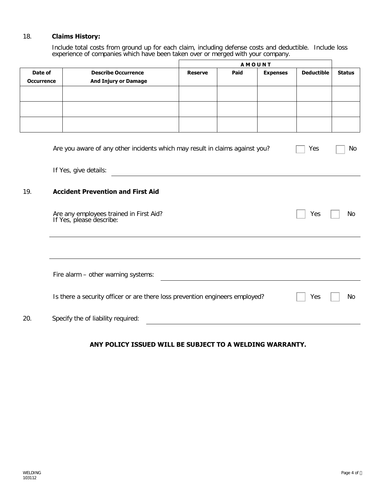### 18. **Claims History:**

Include total costs from ground up for each claim, including defense costs and deductible. Include loss experience of companies which have been taken over or merged with your company.

|                                                                                     |                                                                                     | AMOUNT         |             |                 |                   |               |
|-------------------------------------------------------------------------------------|-------------------------------------------------------------------------------------|----------------|-------------|-----------------|-------------------|---------------|
| Date of                                                                             | <b>Describe Occurrence</b>                                                          | <b>Reserve</b> | <b>Paid</b> | <b>Expenses</b> | <b>Deductible</b> | <b>Status</b> |
| <b>Occurrence</b>                                                                   | <b>And Injury or Damage</b>                                                         |                |             |                 |                   |               |
|                                                                                     |                                                                                     |                |             |                 |                   |               |
|                                                                                     |                                                                                     |                |             |                 |                   |               |
|                                                                                     |                                                                                     |                |             |                 |                   |               |
|                                                                                     |                                                                                     |                |             |                 |                   |               |
| Are you aware of any other incidents which may result in claims against you?<br>Yes |                                                                                     |                |             |                 |                   |               |
|                                                                                     | If Yes, give details:                                                               |                |             |                 |                   |               |
| <b>Accident Prevention and First Aid</b><br>19.                                     |                                                                                     |                |             |                 |                   |               |
|                                                                                     | Are any employees trained in First Aid?<br>If Yes, please describe:                 |                |             |                 | Yes               | No            |
|                                                                                     |                                                                                     |                |             |                 |                   |               |
|                                                                                     | Fire alarm - other warning systems:                                                 |                |             |                 |                   |               |
|                                                                                     | Is there a security officer or are there loss prevention engineers employed?<br>Yes |                |             |                 |                   |               |
| 20.                                                                                 | Specify the of liability required:                                                  |                |             |                 |                   |               |

#### **ANY POLICY ISSUED WILL BE SUBJECT TO A WELDING WARRANTY.**